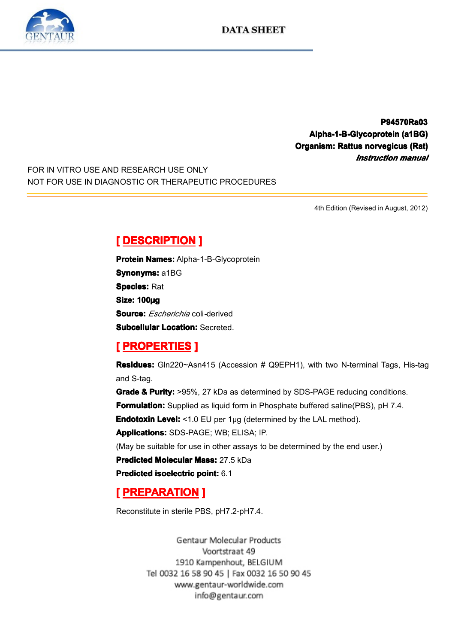

**P94570Ra03 P94570Ra03 Alpha-1-B-Glycoprotein Alpha-1-B-Glycoprotein (a1BG) ha-1-B-Glycoprotein(a1BG) Organism: Rattus anism: norvegicus usnorvegicus (Rat) vegicus** *Instruction Instruction Instruction manual*

FOR IN VITRO USE AND RESEARCH USE ONLY NOT FOR USE IN DIAGNOSTIC OR THERAPEUTIC PROCEDURES

4th Edition (Revised in August, 2012)

**Experience DESCRIPTION**<br> **Protein Names:** Alpha-<br> **Synonyms:** a1BG<br> **Species:** Rat<br> **Size: 100µg**<br> **Source:** *Escherichio* and **Protein Names:** Alpha-1-B-Glycoprotein<br>**Synonyms:** a1BG<br>**Species:** Rat<br>**Size: 100ug Synonyms: a1BG Species:** Rat Size: 100µg<br>Size: 100µg<br>Subcellular<br> **[** PROPE **Source:** *Escherichia* coli*-*derived

**FROPERTIES 1**<br> **Residues:** Gln220~Asn415 (Accession # Q9EPH1), with two N-terminal Tags, His-tag and S-tag.

**EXECUTABLE 2018.0018**<br> **Residues:** Gln220~As<br>
and S-tag.<br> **Grade & Purity:** >95%<br> **Formulation:** Supplied **Residues:** Gln220~Asn415 (Accession # Q9EPH1), with two N-terminal Tags, His-tag<br>and S-tag.<br>**Grade & Purity:** >95%, 27 kDa as determined by SDS-PAGE reducing conditions.<br>**Formulation:** Supplied as liquid form in Phosphate ncolades<br>and S-tag.<br>Grade & F<br>Formulati **Grade & Purity:** >95%, 27 kDa as determined by SDS-PAGE reducing conditions.<br> **Formulation:** Supplied as liquid form in Phosphate buffered saline(PBS), pH 7.4.<br> **Endotoxin Level:** <1.0 EU per 1µg (determined by the LAL me **Formulation:** Supplied as liquid form in Phosphate buffered saline(PBS), pH 7.4.<br> **Endotoxin Level:** <1.0 EU per 1µg (determined by the LAL method).<br> **Applications:** SDS-PAGE; WB; ELISA; IP.<br>
(May be suitable for use in o **Endotoxin Level:** <1.0 EU per 1µg (determined by the LAL method).

**Applications:**SDS-PAGE; WB; ELISA; IP.<br>(May be suitable for use in other assays to<br>**Predicted Molecular Mass:** 27.5 kDa<br>**Predicted isoelectric point:** 6.1

(May be suitable for use in other assays to be determined by the end user.)<br> **Predicted Molecular Mass:** 27.5 kDa<br> **Predicted isoelectric point:** 6.1

**Predicted Molecular Mass:** 27.5 kDa<br>**Predicted isoelectric point:** 6.1<br>**[ PREPARATION ]**<br>Reconstitute in sterile PBS, pH7.2-pH

## **Predicted isoelectric point:** 6.1<br> **[PREPARATION ]**<br>
Reconstitute in sterile PBS, pH7

**FREPARATION**<br>
Reconstitute in sterile PB<br>
Gentau Reconstitute in sterile PBS, pH7.2-pH7.4.<br>Gentaur Molecular Products<br>Voortstraat 49<br>1910 Kampenhout, BELGIUM Tel 0032 16 58 90 45 | Fax 0032 16 50 90 45 www.gentaur-worldwide.com info@gentaur.com